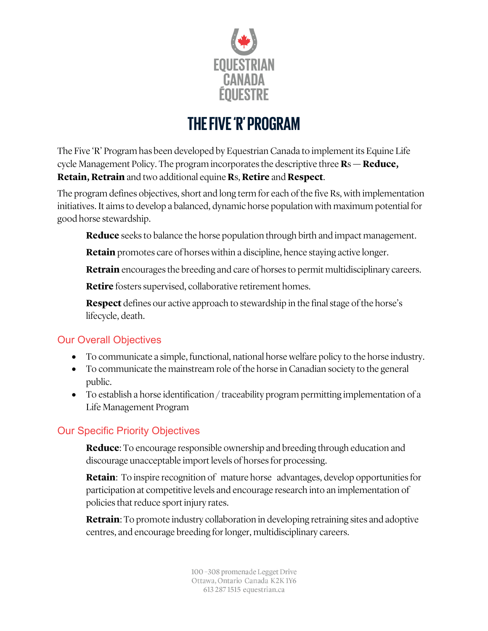

## **THE FIVE 'R' PROGRAM**

The Five 'R' Program has been developed by Equestrian Canada to implement its Equine Life cycle Management Policy. The program incorporates the descriptive three **R**s **— Reduce, Retain, Retrain** and two additional equine **R**s, **Retire** and **Respect**.

The program defines objectives, short and long term for each of the five Rs, with implementation initiatives. It aims to develop a balanced, dynamic horse population with maximum potential for good horse stewardship.

**Reduce** seeks to balance the horse population through birth and impact management.

**Retain** promotes care of horses within a discipline, hence staying active longer.

**Retrain** encourages the breeding and care of horses to permit multidisciplinary careers.

**Retire** fosters supervised, collaborative retirement homes.

**Respect** defines our active approach to stewardship in the final stage of the horse's lifecycle, death.

## Our Overall Objectives

- To communicate a simple, functional, national horse welfare policy to the horse industry.
- To communicate the mainstream role of the horse in Canadian society to the general public.
- To establish a horse identification / traceability program permitting implementation of a Life Management Program

## Our Specific Priority Objectives

**Reduce**: To encourage responsible ownership and breeding through education and discourage unacceptable import levels of horses for processing.

**Retain**: To inspire recognition of mature horse advantages, develop opportunities for participation at competitive levels and encourage research into an implementation of policies that reduce sport injury rates.

**Retrain**: To promote industry collaboration in developing retraining sites and adoptive centres, and encourage breeding for longer, multidisciplinary careers.

> 100-308 promenade Legget Drive Ottawa, Ontario Canada K2K1Y6 613 287 1515 equestrian.ca